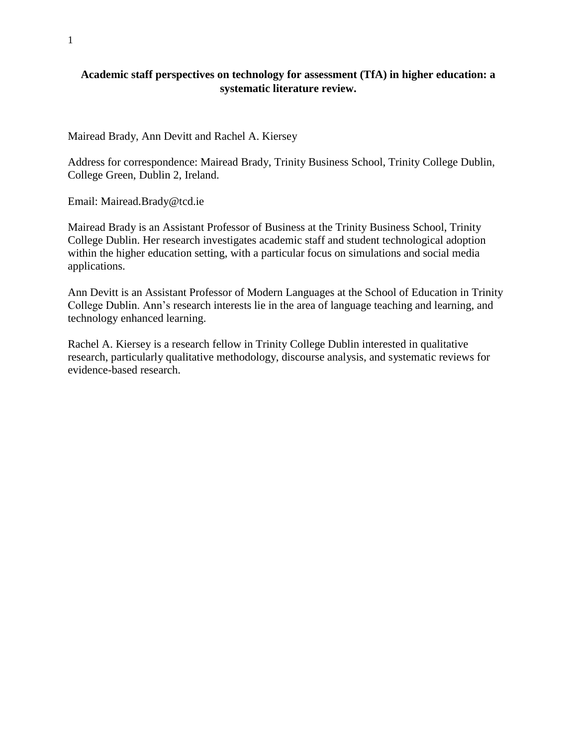### **Academic staff perspectives on technology for assessment (TfA) in higher education: a systematic literature review.**

Mairead Brady, Ann Devitt and Rachel A. Kiersey

Address for correspondence: Mairead Brady, Trinity Business School, Trinity College Dublin, College Green, Dublin 2, Ireland.

Email: Mairead.Brady@tcd.ie

Mairead Brady is an Assistant Professor of Business at the Trinity Business School, Trinity College Dublin. Her research investigates academic staff and student technological adoption within the higher education setting, with a particular focus on simulations and social media applications.

Ann Devitt is an Assistant Professor of Modern Languages at the School of Education in Trinity College Dublin. Ann's research interests lie in the area of language teaching and learning, and technology enhanced learning.

Rachel A. Kiersey is a research fellow in Trinity College Dublin interested in qualitative research, particularly qualitative methodology, discourse analysis, and systematic reviews for evidence-based research.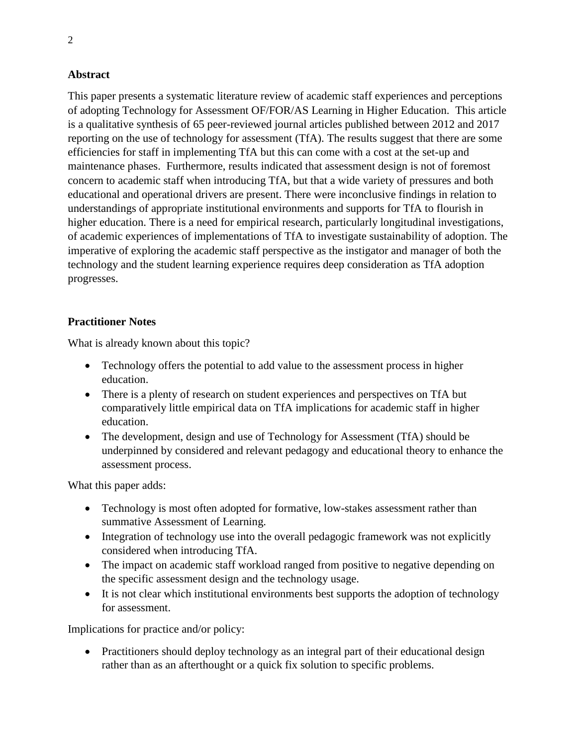### **Abstract**

This paper presents a systematic literature review of academic staff experiences and perceptions of adopting Technology for Assessment OF/FOR/AS Learning in Higher Education. This article is a qualitative synthesis of 65 peer-reviewed journal articles published between 2012 and 2017 reporting on the use of technology for assessment (TfA). The results suggest that there are some efficiencies for staff in implementing TfA but this can come with a cost at the set-up and maintenance phases. Furthermore, results indicated that assessment design is not of foremost concern to academic staff when introducing TfA, but that a wide variety of pressures and both educational and operational drivers are present. There were inconclusive findings in relation to understandings of appropriate institutional environments and supports for TfA to flourish in higher education. There is a need for empirical research, particularly longitudinal investigations, of academic experiences of implementations of TfA to investigate sustainability of adoption. The imperative of exploring the academic staff perspective as the instigator and manager of both the technology and the student learning experience requires deep consideration as TfA adoption progresses.

### **Practitioner Notes**

What is already known about this topic?

- Technology offers the potential to add value to the assessment process in higher education.
- There is a plenty of research on student experiences and perspectives on TfA but comparatively little empirical data on TfA implications for academic staff in higher education.
- The development, design and use of Technology for Assessment (TfA) should be underpinned by considered and relevant pedagogy and educational theory to enhance the assessment process.

What this paper adds:

- Technology is most often adopted for formative, low-stakes assessment rather than summative Assessment of Learning.
- Integration of technology use into the overall pedagogic framework was not explicitly considered when introducing TfA.
- The impact on academic staff workload ranged from positive to negative depending on the specific assessment design and the technology usage.
- It is not clear which institutional environments best supports the adoption of technology for assessment.

Implications for practice and/or policy:

• Practitioners should deploy technology as an integral part of their educational design rather than as an afterthought or a quick fix solution to specific problems.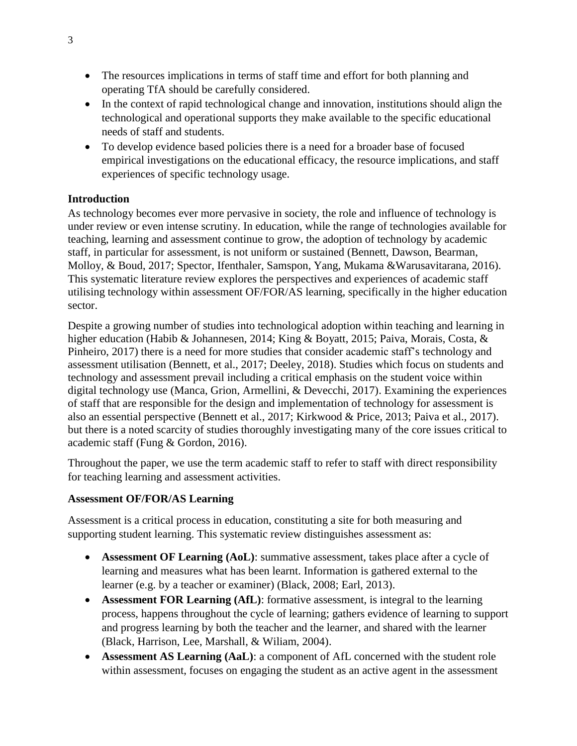- The resources implications in terms of staff time and effort for both planning and operating TfA should be carefully considered.
- In the context of rapid technological change and innovation, institutions should align the technological and operational supports they make available to the specific educational needs of staff and students.
- To develop evidence based policies there is a need for a broader base of focused empirical investigations on the educational efficacy, the resource implications, and staff experiences of specific technology usage.

### **Introduction**

As technology becomes ever more pervasive in society, the role and influence of technology is under review or even intense scrutiny. In education, while the range of technologies available for teaching, learning and assessment continue to grow, the adoption of technology by academic staff, in particular for assessment, is not uniform or sustained (Bennett, Dawson, Bearman, Molloy, & Boud, 2017; Spector, Ifenthaler, Samspon, Yang, Mukama &Warusavitarana, 2016). This systematic literature review explores the perspectives and experiences of academic staff utilising technology within assessment OF/FOR/AS learning, specifically in the higher education sector.

Despite a growing number of studies into technological adoption within teaching and learning in higher education (Habib & Johannesen, 2014; King & Boyatt, 2015; Paiva, Morais, Costa, & Pinheiro, 2017) there is a need for more studies that consider academic staff's technology and assessment utilisation (Bennett, et al., 2017; Deeley, 2018). Studies which focus on students and technology and assessment prevail including a critical emphasis on the student voice within digital technology use (Manca, Grion, Armellini, & Devecchi, 2017). Examining the experiences of staff that are responsible for the design and implementation of technology for assessment is also an essential perspective (Bennett et al., 2017; Kirkwood & Price, 2013; Paiva et al., 2017). but there is a noted scarcity of studies thoroughly investigating many of the core issues critical to academic staff (Fung & Gordon, 2016).

Throughout the paper, we use the term academic staff to refer to staff with direct responsibility for teaching learning and assessment activities.

### **Assessment OF/FOR/AS Learning**

Assessment is a critical process in education, constituting a site for both measuring and supporting student learning. This systematic review distinguishes assessment as:

- **Assessment OF Learning (AoL)**: summative assessment, takes place after a cycle of learning and measures what has been learnt. Information is gathered external to the learner (e.g. by a teacher or examiner) (Black, 2008; Earl, 2013).
- **Assessment FOR Learning (AfL)**: formative assessment, is integral to the learning process, happens throughout the cycle of learning; gathers evidence of learning to support and progress learning by both the teacher and the learner, and shared with the learner (Black, Harrison, Lee, Marshall, & Wiliam, 2004).
- **Assessment AS Learning (AaL)**: a component of AfL concerned with the student role within assessment, focuses on engaging the student as an active agent in the assessment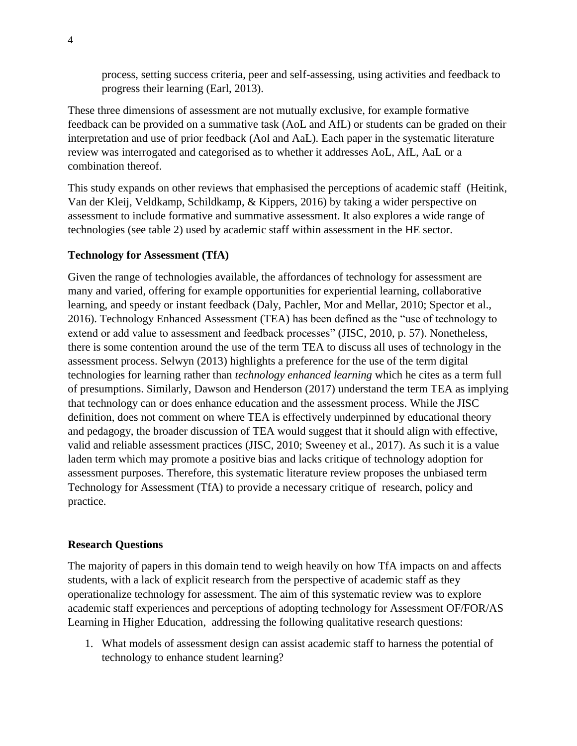process, setting success criteria, peer and self-assessing, using activities and feedback to progress their learning (Earl, 2013).

These three dimensions of assessment are not mutually exclusive, for example formative feedback can be provided on a summative task (AoL and AfL) or students can be graded on their interpretation and use of prior feedback (Aol and AaL). Each paper in the systematic literature review was interrogated and categorised as to whether it addresses AoL, AfL, AaL or a combination thereof.

This study expands on other reviews that emphasised the perceptions of academic staff (Heitink, Van der Kleij, Veldkamp, Schildkamp, & Kippers, 2016) by taking a wider perspective on assessment to include formative and summative assessment. It also explores a wide range of technologies (see table 2) used by academic staff within assessment in the HE sector.

### **Technology for Assessment (TfA)**

Given the range of technologies available, the affordances of technology for assessment are many and varied, offering for example opportunities for experiential learning, collaborative learning, and speedy or instant feedback (Daly, Pachler, Mor and Mellar, 2010; Spector et al., 2016). Technology Enhanced Assessment (TEA) has been defined as the "use of technology to extend or add value to assessment and feedback processes" (JISC, 2010, p. 57). Nonetheless, there is some contention around the use of the term TEA to discuss all uses of technology in the assessment process. Selwyn (2013) highlights a preference for the use of the term digital technologies for learning rather than *technology enhanced learning* which he cites as a term full of presumptions. Similarly, Dawson and Henderson (2017) understand the term TEA as implying that technology can or does enhance education and the assessment process. While the JISC definition, does not comment on where TEA is effectively underpinned by educational theory and pedagogy, the broader discussion of TEA would suggest that it should align with effective, valid and reliable assessment practices (JISC, 2010; Sweeney et al., 2017). As such it is a value laden term which may promote a positive bias and lacks critique of technology adoption for assessment purposes. Therefore, this systematic literature review proposes the unbiased term Technology for Assessment (TfA) to provide a necessary critique of research, policy and practice.

### **Research Questions**

The majority of papers in this domain tend to weigh heavily on how TfA impacts on and affects students, with a lack of explicit research from the perspective of academic staff as they operationalize technology for assessment. The aim of this systematic review was to explore academic staff experiences and perceptions of adopting technology for Assessment OF/FOR/AS Learning in Higher Education, addressing the following qualitative research questions:

1. What models of assessment design can assist academic staff to harness the potential of technology to enhance student learning?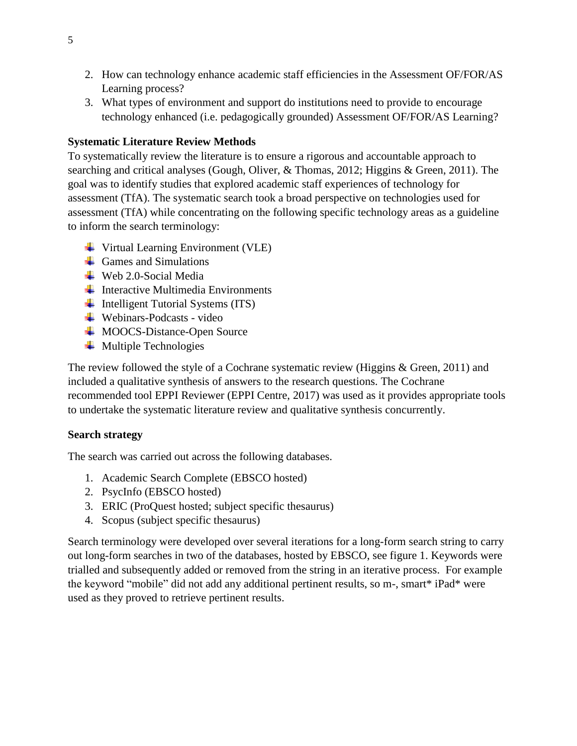- 2. How can technology enhance academic staff efficiencies in the Assessment OF/FOR/AS Learning process?
- 3. What types of environment and support do institutions need to provide to encourage technology enhanced (i.e. pedagogically grounded) Assessment OF/FOR/AS Learning?

### **Systematic Literature Review Methods**

To systematically review the literature is to ensure a rigorous and accountable approach to searching and critical analyses (Gough, Oliver, & Thomas, 2012; Higgins & Green, 2011). The goal was to identify studies that explored academic staff experiences of technology for assessment (TfA). The systematic search took a broad perspective on technologies used for assessment (TfA) while concentrating on the following specific technology areas as a guideline to inform the search terminology:

- **↓** Virtual Learning Environment (VLE)
- $\leftarrow$  Games and Simulations
- $\textcolor{red}{\bullet}$  Web 2.0-Social Media
- $\downarrow$  Interactive Multimedia Environments
- $\overline{\phantom{a}}$  Intelligent Tutorial Systems (ITS)
- $\overline{\text{4}}$  Webinars-Podcasts video
- $\overline{\phantom{a}}$  MOOCS-Distance-Open Source
- $\ddot{\bullet}$  Multiple Technologies

The review followed the style of a Cochrane systematic review (Higgins & Green, 2011) and included a qualitative synthesis of answers to the research questions. The Cochrane recommended tool EPPI Reviewer (EPPI Centre, 2017) was used as it provides appropriate tools to undertake the systematic literature review and qualitative synthesis concurrently.

# **Search strategy**

The search was carried out across the following databases.

- 1. Academic Search Complete (EBSCO hosted)
- 2. PsycInfo (EBSCO hosted)
- 3. ERIC (ProQuest hosted; subject specific thesaurus)
- 4. Scopus (subject specific thesaurus)

Search terminology were developed over several iterations for a long-form search string to carry out long-form searches in two of the databases, hosted by EBSCO, see figure 1. Keywords were trialled and subsequently added or removed from the string in an iterative process. For example the keyword "mobile" did not add any additional pertinent results, so m-, smart\* iPad\* were used as they proved to retrieve pertinent results.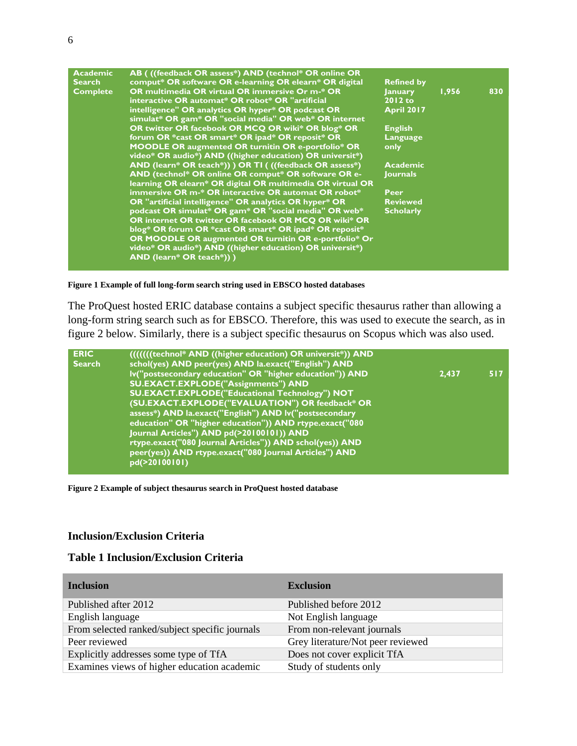| <b>Academic</b> | AB (((feedback OR assess*) AND (technol* OR online OR      |                   |       |     |
|-----------------|------------------------------------------------------------|-------------------|-------|-----|
| <b>Search</b>   | comput* OR software OR e-learning OR elearn* OR digital    | <b>Refined by</b> |       |     |
| <b>Complete</b> | OR multimedia OR virtual OR immersive Or m-* OR            | <b>January</b>    | 1,956 | 830 |
|                 | interactive OR automat* OR robot* OR "artificial           | $2012$ to         |       |     |
|                 | intelligence" OR analytics OR hyper* OR podcast OR         | <b>April 2017</b> |       |     |
|                 | simulat* OR gam* OR "social media" OR web* OR internet     |                   |       |     |
|                 | OR twitter OR facebook OR MCQ OR wiki* OR blog* OR         | <b>English</b>    |       |     |
|                 | forum OR *cast OR smart* OR ipad* OR reposit* OR           | Language          |       |     |
|                 | <b>MOODLE OR augmented OR turnitin OR e-portfolio* OR</b>  | only              |       |     |
|                 | video* OR audio*) AND ((higher education) OR universit*)   |                   |       |     |
|                 | AND (learn* OR teach*)) ) OR TI ( ((feedback OR assess*)   | <b>Academic</b>   |       |     |
|                 | AND (technol* OR online OR comput* OR software OR e-       | <b>Journals</b>   |       |     |
|                 | learning OR elearn* OR digital OR multimedia OR virtual OR |                   |       |     |
|                 | immersive OR m-* OR interactive OR automat OR robot*       | Peer              |       |     |
|                 | OR "artificial intelligence" OR analytics OR hyper* OR     | <b>Reviewed</b>   |       |     |
|                 | podcast OR simulat* OR gam* OR "social media" OR web*      | <b>Scholarly</b>  |       |     |
|                 | OR internet OR twitter OR facebook OR MCQ OR wiki* OR      |                   |       |     |
|                 | blog* OR forum OR *cast OR smart* OR ipad* OR reposit*     |                   |       |     |
|                 | OR MOODLE OR augmented OR turnitin OR e-portfolio* Or      |                   |       |     |
|                 | video* OR audio*) AND ((higher education) OR universit*)   |                   |       |     |
|                 | AND (learn* OR teach*)) )                                  |                   |       |     |
|                 |                                                            |                   |       |     |

#### **Figure 1 Example of full long-form search string used in EBSCO hosted databases**

The ProQuest hosted ERIC database contains a subject specific thesaurus rather than allowing a long-form string search such as for EBSCO. Therefore, this was used to execute the search, as in figure 2 below. Similarly, there is a subject specific thesaurus on Scopus which was also used.

| <b>ERIC</b><br><b>Search</b> | (I)(I)(Itechnol* AND ((higher education) OR universit*)) AND<br>schol(yes) AND peer(yes) AND la.exact("English") AND |       |     |
|------------------------------|----------------------------------------------------------------------------------------------------------------------|-------|-----|
|                              | Iv("postsecondary education" OR "higher education")) AND                                                             | 2,437 | 517 |
|                              | SU.EXACT.EXPLODE("Assignments") AND                                                                                  |       |     |
|                              | <b>SU.EXACT.EXPLODE("Educational Technology") NOT</b>                                                                |       |     |
|                              | (SU.EXACT.EXPLODE("EVALUATION") OR feedback* OR                                                                      |       |     |
|                              | assess*) AND la.exact("English") AND lv("postsecondary                                                               |       |     |
|                              | education" OR "higher education")) AND rtype.exact("080                                                              |       |     |
|                              | Journal Articles") AND pd(>20100101)) AND                                                                            |       |     |
|                              | rtype.exact("080 Journal Articles")) AND schol(yes)) AND                                                             |       |     |
|                              | peer(yes)) AND rtype.exact("080 Journal Articles") AND                                                               |       |     |
|                              | pd(>20100101)                                                                                                        |       |     |
|                              |                                                                                                                      |       |     |

#### **Figure 2 Example of subject thesaurus search in ProQuest hosted database Searc** 2 ف **((technol\* AND ((higher education) OR universit\*)) AND**  e of subject thesaurus search in FroQuest hosted database

#### **Inclusion/Exclusion Criteria** Subsidi Criteria

#### **Table 1 Inclusion/Exclusion Criteria ISION/EXCIUSION Criteria**

| <b>Inclusion</b>                               | <b>Exclusion</b>                  |
|------------------------------------------------|-----------------------------------|
| Published after 2012                           | Published before 2012             |
| English language                               | Not English language              |
| From selected ranked/subject specific journals | From non-relevant journals        |
| Peer reviewed                                  | Grey literature/Not peer reviewed |
| Explicitly addresses some type of TfA          | Does not cover explicit TfA       |
| Examines views of higher education academic    | Study of students only            |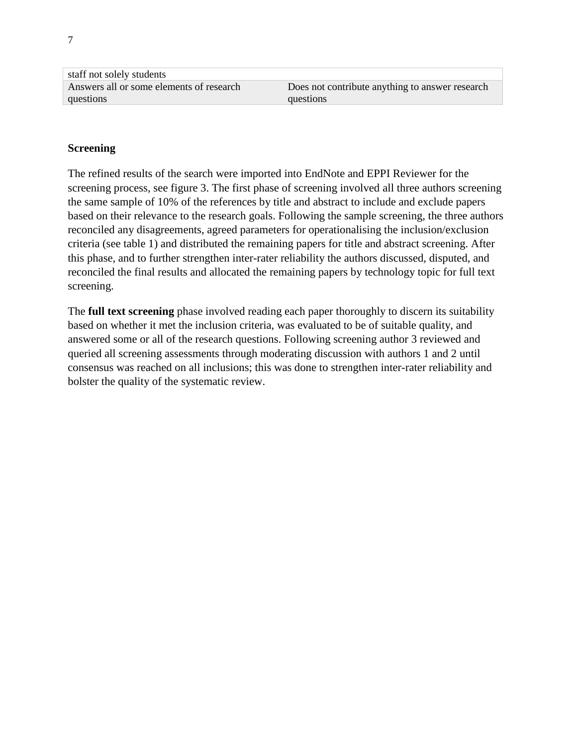| staff not solely students                |                                                 |
|------------------------------------------|-------------------------------------------------|
| Answers all or some elements of research | Does not contribute anything to answer research |
| questions                                | questions                                       |

### **Screening**

The refined results of the search were imported into EndNote and EPPI Reviewer for the screening process, see figure 3. The first phase of screening involved all three authors screening the same sample of 10% of the references by title and abstract to include and exclude papers based on their relevance to the research goals. Following the sample screening, the three authors reconciled any disagreements, agreed parameters for operationalising the inclusion/exclusion criteria (see table 1) and distributed the remaining papers for title and abstract screening. After this phase, and to further strengthen inter-rater reliability the authors discussed, disputed, and reconciled the final results and allocated the remaining papers by technology topic for full text screening.

The **full text screening** phase involved reading each paper thoroughly to discern its suitability based on whether it met the inclusion criteria, was evaluated to be of suitable quality, and answered some or all of the research questions. Following screening author 3 reviewed and queried all screening assessments through moderating discussion with authors 1 and 2 until consensus was reached on all inclusions; this was done to strengthen inter-rater reliability and bolster the quality of the systematic review.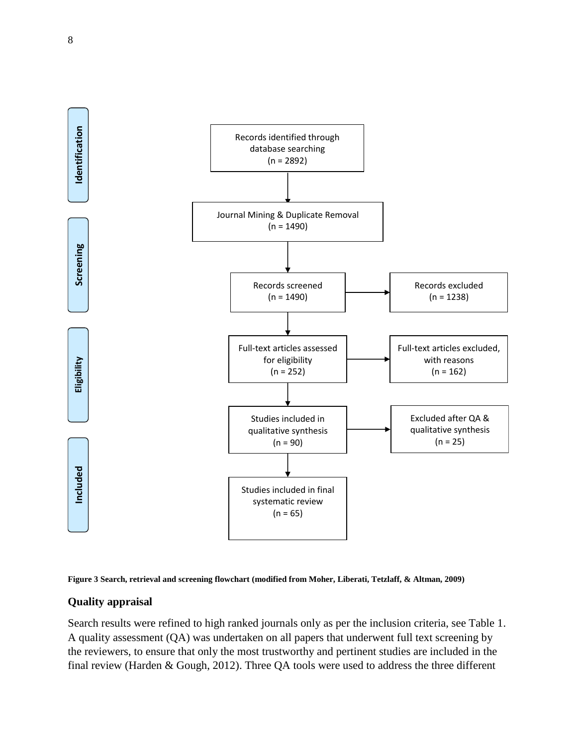



### **Quality appraisal**

Search results were refined to high ranked journals only as per the inclusion criteria, see Table 1. A quality assessment (QA) was undertaken on all papers that underwent full text screening by the reviewers, to ensure that only the most trustworthy and pertinent studies are included in the final review (Harden & Gough, 2012). Three QA tools were used to address the three different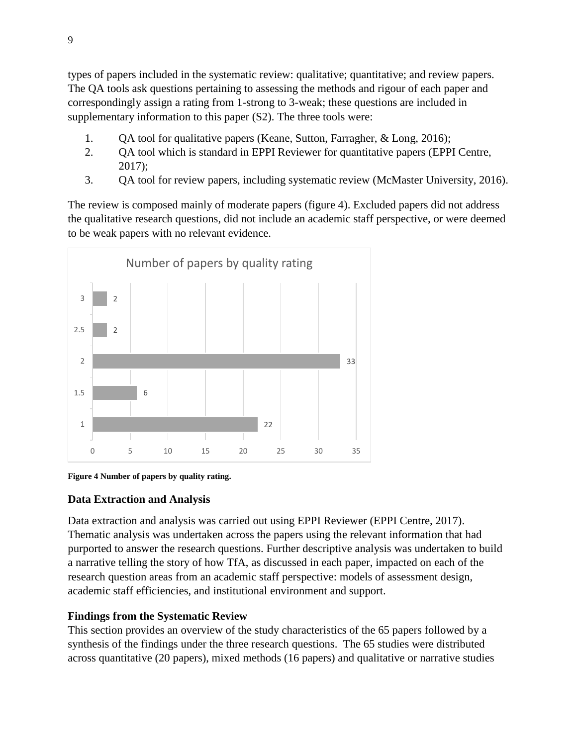types of papers included in the systematic review: qualitative; quantitative; and review papers. The QA tools ask questions pertaining to assessing the methods and rigour of each paper and correspondingly assign a rating from 1-strong to 3-weak; these questions are included in supplementary information to this paper (S2). The three tools were:

- 1. QA tool for qualitative papers (Keane, Sutton, Farragher, & Long, 2016);
- 2. QA tool which is standard in EPPI Reviewer for quantitative papers (EPPI Centre, 2017);
- 3. QA tool for review papers, including systematic review (McMaster University, 2016).

The review is composed mainly of moderate papers (figure 4). Excluded papers did not address the qualitative research questions, did not include an academic staff perspective, or were deemed to be weak papers with no relevant evidence.



**Figure 4 Number of papers by quality rating.**

# **Data Extraction and Analysis**

Data extraction and analysis was carried out using EPPI Reviewer (EPPI Centre, 2017). Thematic analysis was undertaken across the papers using the relevant information that had purported to answer the research questions. Further descriptive analysis was undertaken to build a narrative telling the story of how TfA, as discussed in each paper, impacted on each of the research question areas from an academic staff perspective: models of assessment design, academic staff efficiencies, and institutional environment and support.

# **Findings from the Systematic Review**

This section provides an overview of the study characteristics of the 65 papers followed by a synthesis of the findings under the three research questions. The 65 studies were distributed across quantitative (20 papers), mixed methods (16 papers) and qualitative or narrative studies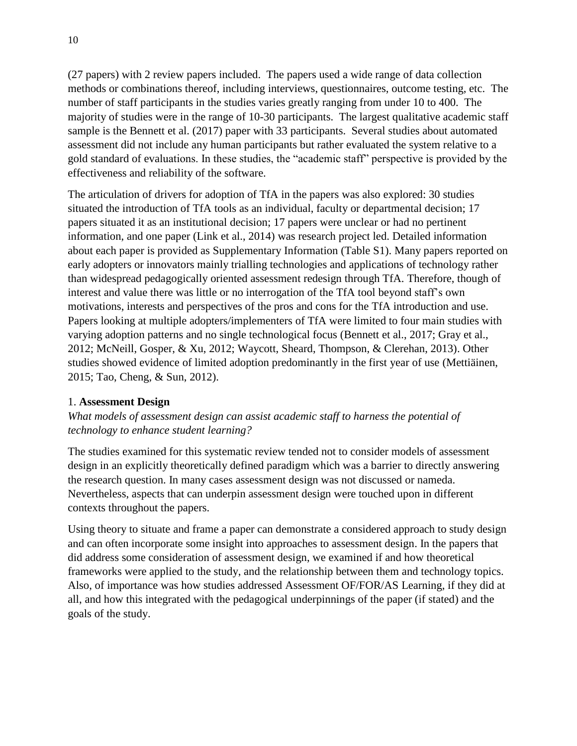(27 papers) with 2 review papers included. The papers used a wide range of data collection methods or combinations thereof, including interviews, questionnaires, outcome testing, etc. The number of staff participants in the studies varies greatly ranging from under 10 to 400. The majority of studies were in the range of 10-30 participants. The largest qualitative academic staff sample is the Bennett et al. (2017) paper with 33 participants. Several studies about automated assessment did not include any human participants but rather evaluated the system relative to a gold standard of evaluations. In these studies, the "academic staff" perspective is provided by the effectiveness and reliability of the software.

The articulation of drivers for adoption of TfA in the papers was also explored: 30 studies situated the introduction of TfA tools as an individual, faculty or departmental decision; 17 papers situated it as an institutional decision; 17 papers were unclear or had no pertinent information, and one paper (Link et al., 2014) was research project led. Detailed information about each paper is provided as Supplementary Information (Table S1). Many papers reported on early adopters or innovators mainly trialling technologies and applications of technology rather than widespread pedagogically oriented assessment redesign through TfA. Therefore, though of interest and value there was little or no interrogation of the TfA tool beyond staff's own motivations, interests and perspectives of the pros and cons for the TfA introduction and use. Papers looking at multiple adopters/implementers of TfA were limited to four main studies with varying adoption patterns and no single technological focus (Bennett et al., 2017; Gray et al., 2012; McNeill, Gosper, & Xu, 2012; Waycott, Sheard, Thompson, & Clerehan, 2013). Other studies showed evidence of limited adoption predominantly in the first year of use (Mettiäinen, 2015; Tao, Cheng, & Sun, 2012).

### 1. **Assessment Design**

*What models of assessment design can assist academic staff to harness the potential of technology to enhance student learning?*

The studies examined for this systematic review tended not to consider models of assessment design in an explicitly theoretically defined paradigm which was a barrier to directly answering the research question. In many cases assessment design was not discussed or nameda. Nevertheless, aspects that can underpin assessment design were touched upon in different contexts throughout the papers.

Using theory to situate and frame a paper can demonstrate a considered approach to study design and can often incorporate some insight into approaches to assessment design. In the papers that did address some consideration of assessment design, we examined if and how theoretical frameworks were applied to the study, and the relationship between them and technology topics. Also, of importance was how studies addressed Assessment OF/FOR/AS Learning, if they did at all, and how this integrated with the pedagogical underpinnings of the paper (if stated) and the goals of the study.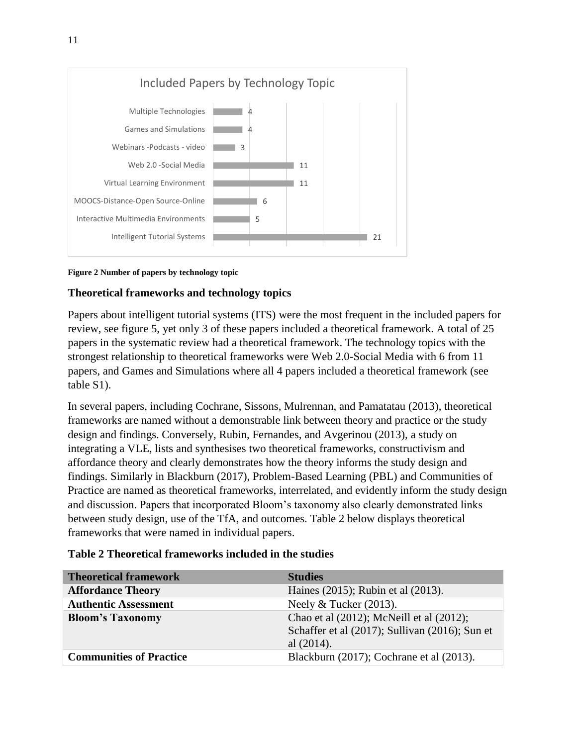

#### **Figure 2 Number of papers by technology topic**

### **Theoretical frameworks and technology topics**

Papers about intelligent tutorial systems (ITS) were the most frequent in the included papers for review, see figure 5, yet only 3 of these papers included a theoretical framework. A total of 25 papers in the systematic review had a theoretical framework. The technology topics with the strongest relationship to theoretical frameworks were Web 2.0-Social Media with 6 from 11 papers, and Games and Simulations where all 4 papers included a theoretical framework (see table S1).

In several papers, including Cochrane, Sissons, Mulrennan, and Pamatatau (2013), theoretical frameworks are named without a demonstrable link between theory and practice or the study design and findings. Conversely, Rubin, Fernandes, and Avgerinou (2013), a study on integrating a VLE, lists and synthesises two theoretical frameworks, constructivism and affordance theory and clearly demonstrates how the theory informs the study design and findings. Similarly in Blackburn (2017), Problem-Based Learning (PBL) and Communities of Practice are named as theoretical frameworks, interrelated, and evidently inform the study design and discussion. Papers that incorporated Bloom's taxonomy also clearly demonstrated links between study design, use of the TfA, and outcomes. Table 2 below displays theoretical frameworks that were named in individual papers.

| <b>Theoretical framework</b>   | <b>Studies</b>                                                                                              |
|--------------------------------|-------------------------------------------------------------------------------------------------------------|
| <b>Affordance Theory</b>       | Haines (2015); Rubin et al (2013).                                                                          |
| <b>Authentic Assessment</b>    | Neely $&$ Tucker (2013).                                                                                    |
| <b>Bloom's Taxonomy</b>        | Chao et al (2012); McNeill et al (2012);<br>Schaffer et al (2017); Sullivan (2016); Sun et<br>al $(2014)$ . |
| <b>Communities of Practice</b> | Blackburn (2017); Cochrane et al (2013).                                                                    |

#### **Table 2 Theoretical frameworks included in the studies**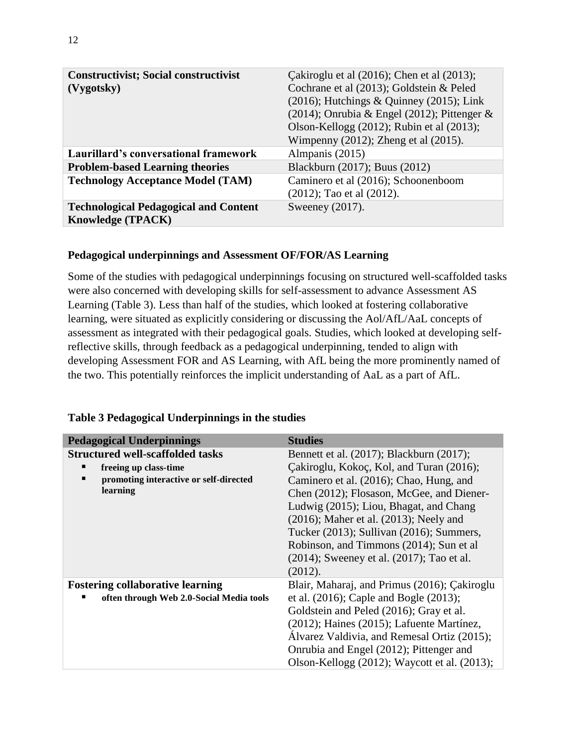| <b>Constructivist; Social constructivist</b><br>(Vygotsky)               | Cakiroglu et al $(2016)$ ; Chen et al $(2013)$ ;<br>Cochrane et al (2013); Goldstein & Peled<br>$(2016)$ ; Hutchings & Quinney $(2015)$ ; Link<br>$(2014)$ ; Onrubia & Engel $(2012)$ ; Pittenger & |
|--------------------------------------------------------------------------|-----------------------------------------------------------------------------------------------------------------------------------------------------------------------------------------------------|
|                                                                          | Olson-Kellogg $(2012)$ ; Rubin et al $(2013)$ ;<br>Wimpenny $(2012)$ ; Zheng et al $(2015)$ .                                                                                                       |
| Laurillard's conversational framework                                    | Almpanis (2015)                                                                                                                                                                                     |
| <b>Problem-based Learning theories</b>                                   | Blackburn (2017); Buus (2012)                                                                                                                                                                       |
| <b>Technology Acceptance Model (TAM)</b>                                 | Caminero et al (2016); Schoonenboom<br>$(2012)$ ; Tao et al $(2012)$ .                                                                                                                              |
| <b>Technological Pedagogical and Content</b><br><b>Knowledge (TPACK)</b> | Sweeney (2017).                                                                                                                                                                                     |

### **Pedagogical underpinnings and Assessment OF/FOR/AS Learning**

Some of the studies with pedagogical underpinnings focusing on structured well-scaffolded tasks were also concerned with developing skills for self-assessment to advance Assessment AS Learning (Table 3). Less than half of the studies, which looked at fostering collaborative learning, were situated as explicitly considering or discussing the Aol/AfL/AaL concepts of assessment as integrated with their pedagogical goals. Studies, which looked at developing selfreflective skills, through feedback as a pedagogical underpinning, tended to align with developing Assessment FOR and AS Learning, with AfL being the more prominently named of the two. This potentially reinforces the implicit understanding of AaL as a part of AfL.

| <b>Pedagogical Underpinnings</b>         | <b>Studies</b>                                     |
|------------------------------------------|----------------------------------------------------|
| <b>Structured well-scaffolded tasks</b>  | Bennett et al. (2017); Blackburn (2017);           |
| freeing up class-time                    | Çakiroglu, Kokoç, Kol, and Turan (2016);           |
| promoting interactive or self-directed   | Caminero et al. (2016); Chao, Hung, and            |
| learning                                 | Chen (2012); Flosason, McGee, and Diener-          |
|                                          | Ludwig (2015); Liou, Bhagat, and Chang             |
|                                          | $(2016)$ ; Maher et al. $(2013)$ ; Neely and       |
|                                          | Tucker (2013); Sullivan (2016); Summers,           |
|                                          | Robinson, and Timmons (2014); Sun et al.           |
|                                          | $(2014)$ ; Sweeney et al. $(2017)$ ; Tao et al.    |
|                                          | (2012).                                            |
| <b>Fostering collaborative learning</b>  | Blair, Maharaj, and Primus (2016); Çakiroglu       |
| often through Web 2.0-Social Media tools | et al. $(2016)$ ; Caple and Bogle $(2013)$ ;       |
|                                          | Goldstein and Peled (2016); Gray et al.            |
|                                          | $(2012)$ ; Haines $(2015)$ ; Lafuente Martínez,    |
|                                          | Álvarez Valdivia, and Remesal Ortiz (2015);        |
|                                          | Onrubia and Engel (2012); Pittenger and            |
|                                          | Olson-Kellogg $(2012)$ ; Waycott et al. $(2013)$ ; |

#### **Table 3 Pedagogical Underpinnings in the studies**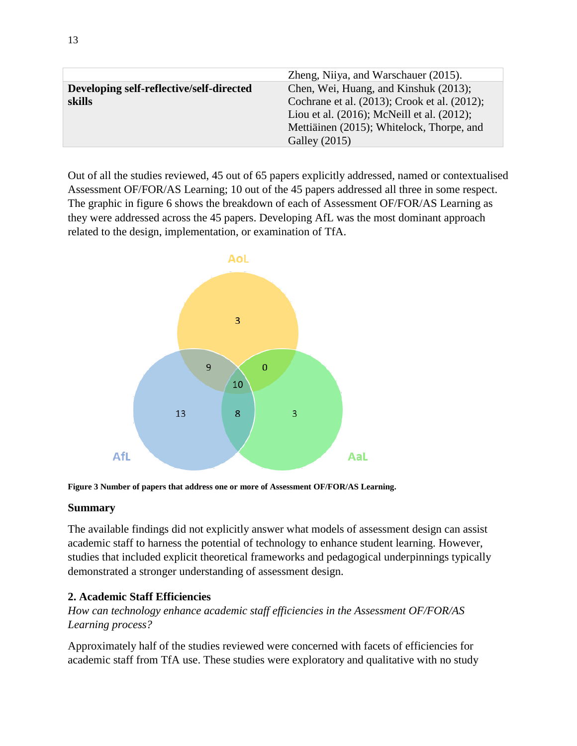|                                          | Zheng, Niiya, and Warschauer (2015).             |
|------------------------------------------|--------------------------------------------------|
| Developing self-reflective/self-directed | Chen, Wei, Huang, and Kinshuk (2013);            |
| skills                                   | Cochrane et al. (2013); Crook et al. (2012);     |
|                                          | Liou et al. $(2016)$ ; McNeill et al. $(2012)$ ; |
|                                          | Mettiäinen (2015); Whitelock, Thorpe, and        |
|                                          | Galley (2015)                                    |

Out of all the studies reviewed, 45 out of 65 papers explicitly addressed, named or contextualised Assessment OF/FOR/AS Learning; 10 out of the 45 papers addressed all three in some respect. The graphic in figure 6 shows the breakdown of each of Assessment OF/FOR/AS Learning as they were addressed across the 45 papers. Developing AfL was the most dominant approach related to the design, implementation, or examination of TfA.



**Figure 3 Number of papers that address one or more of Assessment OF/FOR/AS Learning.**

### **Summary**

The available findings did not explicitly answer what models of assessment design can assist academic staff to harness the potential of technology to enhance student learning. However, studies that included explicit theoretical frameworks and pedagogical underpinnings typically demonstrated a stronger understanding of assessment design.

# **2. Academic Staff Efficiencies**

*How can technology enhance academic staff efficiencies in the Assessment OF/FOR/AS Learning process?*

Approximately half of the studies reviewed were concerned with facets of efficiencies for academic staff from TfA use. These studies were exploratory and qualitative with no study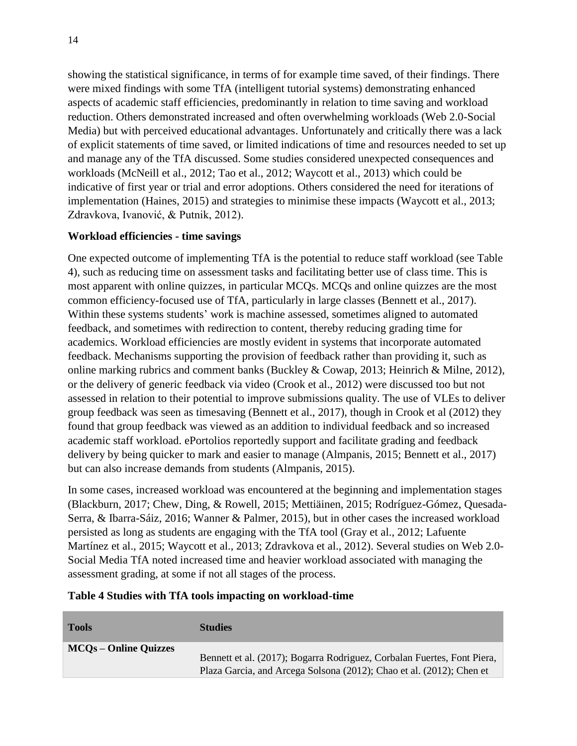showing the statistical significance, in terms of for example time saved, of their findings. There were mixed findings with some TfA (intelligent tutorial systems) demonstrating enhanced aspects of academic staff efficiencies, predominantly in relation to time saving and workload reduction. Others demonstrated increased and often overwhelming workloads (Web 2.0-Social Media) but with perceived educational advantages. Unfortunately and critically there was a lack of explicit statements of time saved, or limited indications of time and resources needed to set up and manage any of the TfA discussed. Some studies considered unexpected consequences and workloads (McNeill et al., 2012; Tao et al., 2012; Waycott et al., 2013) which could be indicative of first year or trial and error adoptions. Others considered the need for iterations of implementation (Haines, 2015) and strategies to minimise these impacts (Waycott et al., 2013; Zdravkova, Ivanović, & Putnik, 2012).

### **Workload efficiencies - time savings**

One expected outcome of implementing TfA is the potential to reduce staff workload (see Table 4), such as reducing time on assessment tasks and facilitating better use of class time. This is most apparent with online quizzes, in particular MCQs. MCQs and online quizzes are the most common efficiency-focused use of TfA, particularly in large classes (Bennett et al., 2017). Within these systems students' work is machine assessed, sometimes aligned to automated feedback, and sometimes with redirection to content, thereby reducing grading time for academics. Workload efficiencies are mostly evident in systems that incorporate automated feedback. Mechanisms supporting the provision of feedback rather than providing it, such as online marking rubrics and comment banks (Buckley & Cowap, 2013; Heinrich & Milne, 2012), or the delivery of generic feedback via video (Crook et al., 2012) were discussed too but not assessed in relation to their potential to improve submissions quality. The use of VLEs to deliver group feedback was seen as timesaving (Bennett et al., 2017), though in Crook et al (2012) they found that group feedback was viewed as an addition to individual feedback and so increased academic staff workload. ePortolios reportedly support and facilitate grading and feedback delivery by being quicker to mark and easier to manage (Almpanis, 2015; Bennett et al., 2017) but can also increase demands from students (Almpanis, 2015).

In some cases, increased workload was encountered at the beginning and implementation stages (Blackburn, 2017; Chew, Ding, & Rowell, 2015; Mettiäinen, 2015; Rodríguez-Gómez, Quesada-Serra, & Ibarra-Sáiz, 2016; Wanner & Palmer, 2015), but in other cases the increased workload persisted as long as students are engaging with the TfA tool (Gray et al., 2012; Lafuente Martínez et al., 2015; Waycott et al., 2013; Zdravkova et al., 2012). Several studies on Web 2.0- Social Media TfA noted increased time and heavier workload associated with managing the assessment grading, at some if not all stages of the process.

#### **Table 4 Studies with TfA tools impacting on workload-time**

| <b>Tools</b>                 | <b>Studies</b>                                                          |
|------------------------------|-------------------------------------------------------------------------|
| <b>MCOs – Online Quizzes</b> |                                                                         |
|                              | Bennett et al. (2017); Bogarra Rodriguez, Corbalan Fuertes, Font Piera, |
|                              | Plaza Garcia, and Arcega Solsona (2012); Chao et al. (2012); Chen et    |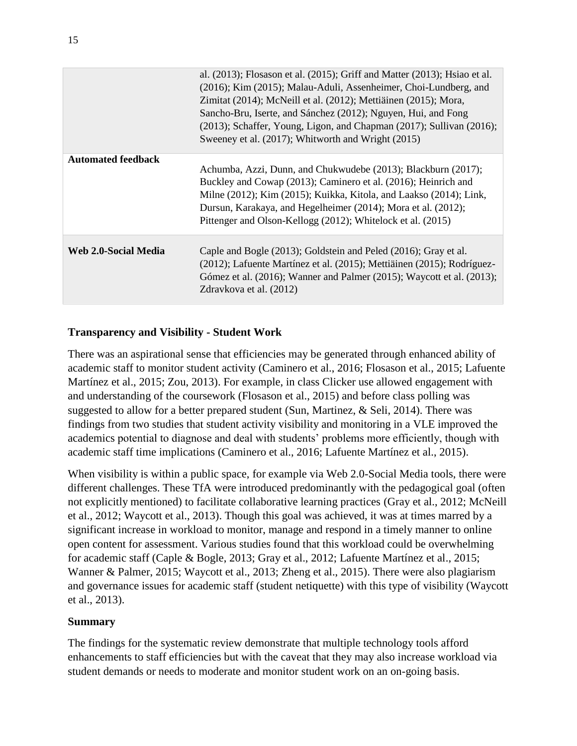|                           | al. $(2013)$ ; Flosason et al. $(2015)$ ; Griff and Matter $(2013)$ ; Hsiao et al.<br>(2016); Kim (2015); Malau-Aduli, Assenheimer, Choi-Lundberg, and<br>Zimitat (2014); McNeill et al. (2012); Mettiäinen (2015); Mora,<br>Sancho-Bru, Iserte, and Sánchez (2012); Nguyen, Hui, and Fong<br>(2013); Schaffer, Young, Ligon, and Chapman (2017); Sullivan (2016);<br>Sweeney et al. (2017); Whitworth and Wright (2015) |
|---------------------------|--------------------------------------------------------------------------------------------------------------------------------------------------------------------------------------------------------------------------------------------------------------------------------------------------------------------------------------------------------------------------------------------------------------------------|
| <b>Automated feedback</b> | Achumba, Azzi, Dunn, and Chukwudebe (2013); Blackburn (2017);<br>Buckley and Cowap (2013); Caminero et al. (2016); Heinrich and<br>Milne (2012); Kim (2015); Kuikka, Kitola, and Laakso (2014); Link,<br>Dursun, Karakaya, and Hegelheimer (2014); Mora et al. (2012);<br>Pittenger and Olson-Kellogg (2012); Whitelock et al. (2015)                                                                                    |
| Web 2.0-Social Media      | Caple and Bogle (2013); Goldstein and Peled (2016); Gray et al.<br>(2012); Lafuente Martínez et al. (2015); Mettiäinen (2015); Rodríguez-<br>Gómez et al. (2016); Wanner and Palmer (2015); Waycott et al. (2013);<br>Zdravkova et al. (2012)                                                                                                                                                                            |

### **Transparency and Visibility - Student Work**

There was an aspirational sense that efficiencies may be generated through enhanced ability of academic staff to monitor student activity (Caminero et al., 2016; Flosason et al., 2015; Lafuente Martínez et al., 2015; Zou, 2013). For example, in class Clicker use allowed engagement with and understanding of the coursework (Flosason et al., 2015) and before class polling was suggested to allow for a better prepared student (Sun, Martinez, & Seli, 2014). There was findings from two studies that student activity visibility and monitoring in a VLE improved the academics potential to diagnose and deal with students' problems more efficiently, though with academic staff time implications (Caminero et al., 2016; Lafuente Martínez et al., 2015).

When visibility is within a public space, for example via Web 2.0-Social Media tools, there were different challenges. These TfA were introduced predominantly with the pedagogical goal (often not explicitly mentioned) to facilitate collaborative learning practices (Gray et al., 2012; McNeill et al., 2012; Waycott et al., 2013). Though this goal was achieved, it was at times marred by a significant increase in workload to monitor, manage and respond in a timely manner to online open content for assessment. Various studies found that this workload could be overwhelming for academic staff (Caple & Bogle, 2013; Gray et al., 2012; Lafuente Martínez et al., 2015; Wanner & Palmer, 2015; Waycott et al., 2013; Zheng et al., 2015). There were also plagiarism and governance issues for academic staff (student netiquette) with this type of visibility (Waycott et al., 2013).

### **Summary**

The findings for the systematic review demonstrate that multiple technology tools afford enhancements to staff efficiencies but with the caveat that they may also increase workload via student demands or needs to moderate and monitor student work on an on-going basis.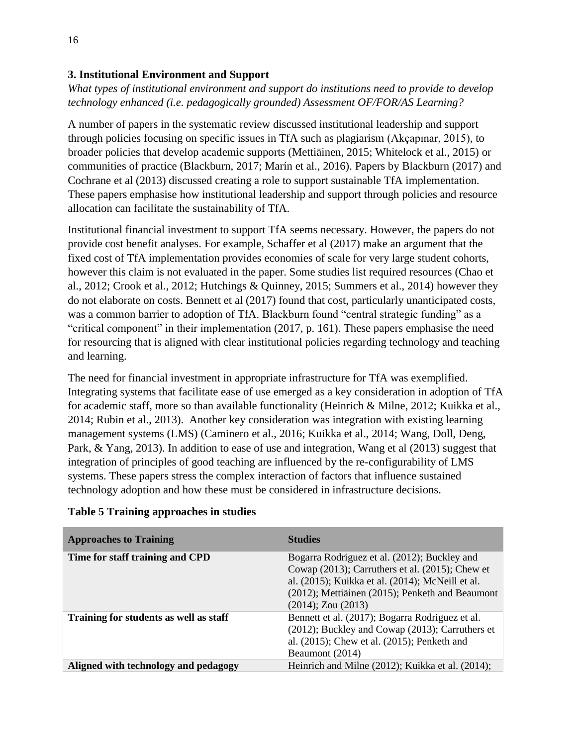### **3. Institutional Environment and Support**

*What types of institutional environment and support do institutions need to provide to develop technology enhanced (i.e. pedagogically grounded) Assessment OF/FOR/AS Learning?*

A number of papers in the systematic review discussed institutional leadership and support through policies focusing on specific issues in TfA such as plagiarism (Akçapınar, 2015), to broader policies that develop academic supports (Mettiäinen, 2015; Whitelock et al., 2015) or communities of practice (Blackburn, 2017; Marín et al., 2016). Papers by Blackburn (2017) and Cochrane et al (2013) discussed creating a role to support sustainable TfA implementation. These papers emphasise how institutional leadership and support through policies and resource allocation can facilitate the sustainability of TfA.

Institutional financial investment to support TfA seems necessary. However, the papers do not provide cost benefit analyses. For example, Schaffer et al (2017) make an argument that the fixed cost of TfA implementation provides economies of scale for very large student cohorts, however this claim is not evaluated in the paper. Some studies list required resources (Chao et al., 2012; Crook et al., 2012; Hutchings & Quinney, 2015; Summers et al., 2014) however they do not elaborate on costs. Bennett et al (2017) found that cost, particularly unanticipated costs, was a common barrier to adoption of TfA. Blackburn found "central strategic funding" as a "critical component" in their implementation (2017, p. 161). These papers emphasise the need for resourcing that is aligned with clear institutional policies regarding technology and teaching and learning.

The need for financial investment in appropriate infrastructure for TfA was exemplified. Integrating systems that facilitate ease of use emerged as a key consideration in adoption of TfA for academic staff, more so than available functionality (Heinrich & Milne, 2012; Kuikka et al., 2014; Rubin et al., 2013). Another key consideration was integration with existing learning management systems (LMS) (Caminero et al., 2016; Kuikka et al., 2014; Wang, Doll, Deng, Park, & Yang, 2013). In addition to ease of use and integration, Wang et al (2013) suggest that integration of principles of good teaching are influenced by the re-configurability of LMS systems. These papers stress the complex interaction of factors that influence sustained technology adoption and how these must be considered in infrastructure decisions.

| <b>Approaches to Training</b>          | <b>Studies</b>                                                                                                                                                                                                                          |
|----------------------------------------|-----------------------------------------------------------------------------------------------------------------------------------------------------------------------------------------------------------------------------------------|
| Time for staff training and CPD        | Bogarra Rodriguez et al. (2012); Buckley and<br>Cowap $(2013)$ ; Carruthers et al. $(2015)$ ; Chew et<br>al. (2015); Kuikka et al. (2014); McNeill et al.<br>(2012); Mettiäinen (2015); Penketh and Beaumont<br>$(2014)$ ; Zou $(2013)$ |
| Training for students as well as staff | Bennett et al. (2017); Bogarra Rodriguez et al.<br>(2012); Buckley and Cowap (2013); Carruthers et<br>al. (2015); Chew et al. (2015); Penketh and<br>Beaumont (2014)                                                                    |
| Aligned with technology and pedagogy   | Heinrich and Milne (2012); Kuikka et al. (2014);                                                                                                                                                                                        |

### **Table 5 Training approaches in studies**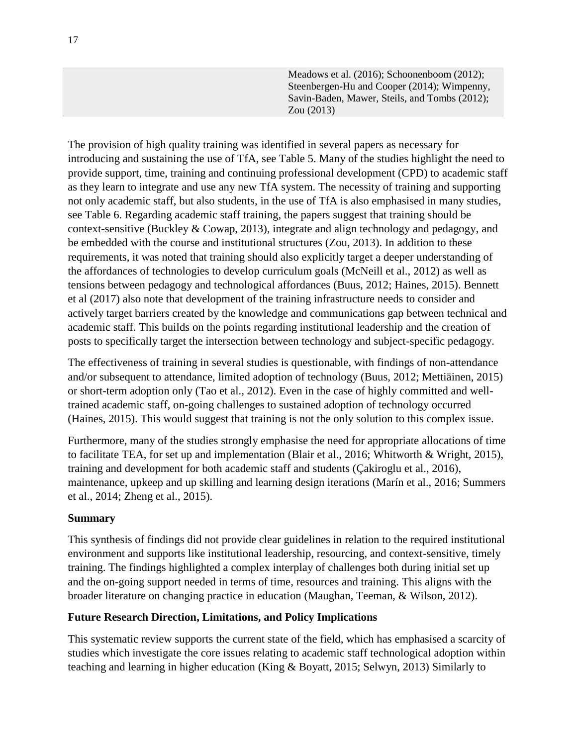Meadows et al. (2016); Schoonenboom (2012); Steenbergen-Hu and Cooper (2014); Wimpenny, Savin-Baden, Mawer, Steils, and Tombs (2012); Zou (2013)

The provision of high quality training was identified in several papers as necessary for introducing and sustaining the use of TfA, see Table 5. Many of the studies highlight the need to provide support, time, training and continuing professional development (CPD) to academic staff as they learn to integrate and use any new TfA system. The necessity of training and supporting not only academic staff, but also students, in the use of TfA is also emphasised in many studies, see Table 6. Regarding academic staff training, the papers suggest that training should be context-sensitive (Buckley & Cowap, 2013), integrate and align technology and pedagogy, and be embedded with the course and institutional structures (Zou, 2013). In addition to these requirements, it was noted that training should also explicitly target a deeper understanding of the affordances of technologies to develop curriculum goals (McNeill et al., 2012) as well as tensions between pedagogy and technological affordances (Buus, 2012; Haines, 2015). Bennett et al (2017) also note that development of the training infrastructure needs to consider and actively target barriers created by the knowledge and communications gap between technical and academic staff. This builds on the points regarding institutional leadership and the creation of posts to specifically target the intersection between technology and subject-specific pedagogy.

The effectiveness of training in several studies is questionable, with findings of non-attendance and/or subsequent to attendance, limited adoption of technology (Buus, 2012; Mettiäinen, 2015) or short-term adoption only (Tao et al., 2012). Even in the case of highly committed and welltrained academic staff, on-going challenges to sustained adoption of technology occurred (Haines, 2015). This would suggest that training is not the only solution to this complex issue.

Furthermore, many of the studies strongly emphasise the need for appropriate allocations of time to facilitate TEA, for set up and implementation (Blair et al., 2016; Whitworth & Wright, 2015), training and development for both academic staff and students (Çakiroglu et al., 2016), maintenance, upkeep and up skilling and learning design iterations (Marín et al., 2016; Summers et al., 2014; Zheng et al., 2015).

### **Summary**

This synthesis of findings did not provide clear guidelines in relation to the required institutional environment and supports like institutional leadership, resourcing, and context-sensitive, timely training. The findings highlighted a complex interplay of challenges both during initial set up and the on-going support needed in terms of time, resources and training. This aligns with the broader literature on changing practice in education (Maughan, Teeman, & Wilson, 2012).

### **Future Research Direction, Limitations, and Policy Implications**

This systematic review supports the current state of the field, which has emphasised a scarcity of studies which investigate the core issues relating to academic staff technological adoption within teaching and learning in higher education (King & Boyatt, 2015; Selwyn, 2013) Similarly to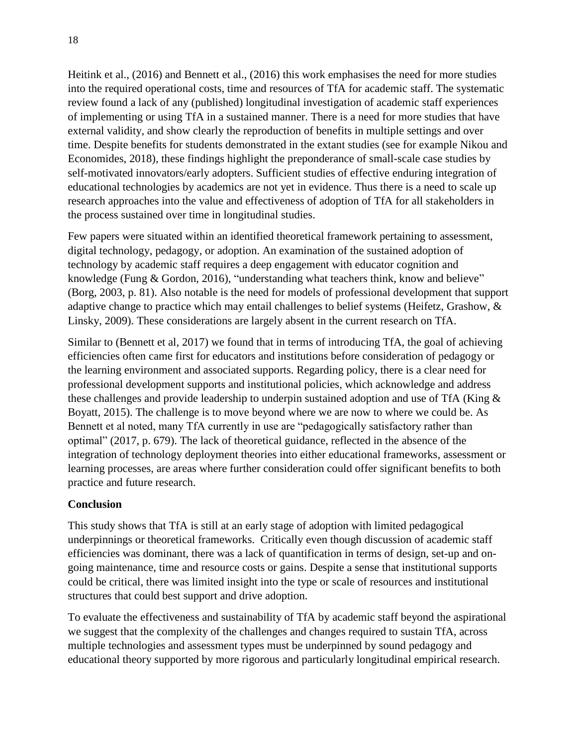Heitink et al., (2016) and Bennett et al., (2016) this work emphasises the need for more studies into the required operational costs, time and resources of TfA for academic staff. The systematic review found a lack of any (published) longitudinal investigation of academic staff experiences of implementing or using TfA in a sustained manner. There is a need for more studies that have external validity, and show clearly the reproduction of benefits in multiple settings and over time. Despite benefits for students demonstrated in the extant studies (see for example Nikou and Economides, 2018), these findings highlight the preponderance of small-scale case studies by self-motivated innovators/early adopters. Sufficient studies of effective enduring integration of educational technologies by academics are not yet in evidence. Thus there is a need to scale up research approaches into the value and effectiveness of adoption of TfA for all stakeholders in the process sustained over time in longitudinal studies.

Few papers were situated within an identified theoretical framework pertaining to assessment, digital technology, pedagogy, or adoption. An examination of the sustained adoption of technology by academic staff requires a deep engagement with educator cognition and knowledge (Fung & Gordon, 2016), "understanding what teachers think, know and believe" (Borg, 2003, p. 81). Also notable is the need for models of professional development that support adaptive change to practice which may entail challenges to belief systems (Heifetz, Grashow, & Linsky, 2009). These considerations are largely absent in the current research on TfA.

Similar to (Bennett et al, 2017) we found that in terms of introducing TfA, the goal of achieving efficiencies often came first for educators and institutions before consideration of pedagogy or the learning environment and associated supports. Regarding policy, there is a clear need for professional development supports and institutional policies, which acknowledge and address these challenges and provide leadership to underpin sustained adoption and use of TfA (King & Boyatt, 2015). The challenge is to move beyond where we are now to where we could be. As Bennett et al noted, many TfA currently in use are "pedagogically satisfactory rather than optimal" (2017, p. 679). The lack of theoretical guidance, reflected in the absence of the integration of technology deployment theories into either educational frameworks, assessment or learning processes, are areas where further consideration could offer significant benefits to both practice and future research.

### **Conclusion**

This study shows that TfA is still at an early stage of adoption with limited pedagogical underpinnings or theoretical frameworks. Critically even though discussion of academic staff efficiencies was dominant, there was a lack of quantification in terms of design, set-up and ongoing maintenance, time and resource costs or gains. Despite a sense that institutional supports could be critical, there was limited insight into the type or scale of resources and institutional structures that could best support and drive adoption.

To evaluate the effectiveness and sustainability of TfA by academic staff beyond the aspirational we suggest that the complexity of the challenges and changes required to sustain TfA, across multiple technologies and assessment types must be underpinned by sound pedagogy and educational theory supported by more rigorous and particularly longitudinal empirical research.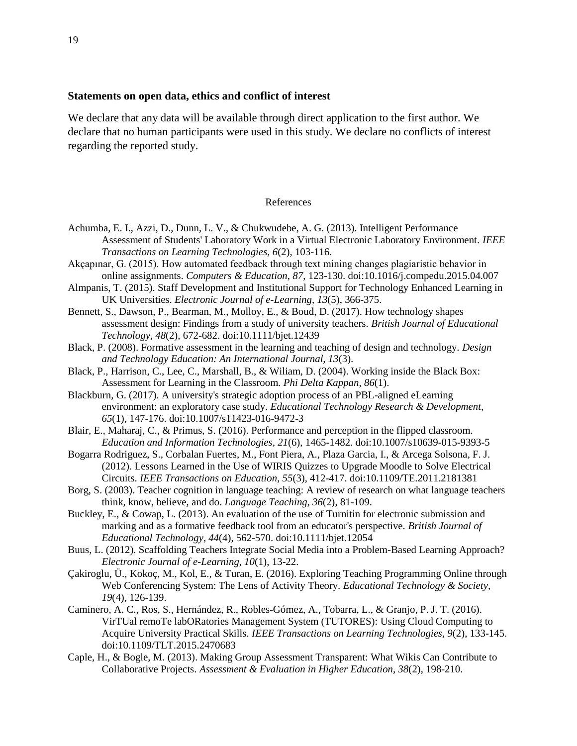#### **Statements on open data, ethics and conflict of interest**

We declare that any data will be available through direct application to the first author. We declare that no human participants were used in this study. We declare no conflicts of interest regarding the reported study.

#### References

- Achumba, E. I., Azzi, D., Dunn, L. V., & Chukwudebe, A. G. (2013). Intelligent Performance Assessment of Students' Laboratory Work in a Virtual Electronic Laboratory Environment. *IEEE Transactions on Learning Technologies, 6*(2), 103-116.
- Akçapınar, G. (2015). How automated feedback through text mining changes plagiaristic behavior in online assignments. *Computers & Education, 87*, 123-130. doi:10.1016/j.compedu.2015.04.007
- Almpanis, T. (2015). Staff Development and Institutional Support for Technology Enhanced Learning in UK Universities. *Electronic Journal of e-Learning, 13*(5), 366-375.
- Bennett, S., Dawson, P., Bearman, M., Molloy, E., & Boud, D. (2017). How technology shapes assessment design: Findings from a study of university teachers. *British Journal of Educational Technology, 48*(2), 672-682. doi:10.1111/bjet.12439
- Black, P. (2008). Formative assessment in the learning and teaching of design and technology. *Design and Technology Education: An International Journal, 13*(3).
- Black, P., Harrison, C., Lee, C., Marshall, B., & Wiliam, D. (2004). Working inside the Black Box: Assessment for Learning in the Classroom. *Phi Delta Kappan, 86*(1).
- Blackburn, G. (2017). A university's strategic adoption process of an PBL-aligned eLearning environment: an exploratory case study. *Educational Technology Research & Development, 65*(1), 147-176. doi:10.1007/s11423-016-9472-3
- Blair, E., Maharaj, C., & Primus, S. (2016). Performance and perception in the flipped classroom. *Education and Information Technologies, 21*(6), 1465-1482. doi:10.1007/s10639-015-9393-5
- Bogarra Rodriguez, S., Corbalan Fuertes, M., Font Piera, A., Plaza Garcia, I., & Arcega Solsona, F. J. (2012). Lessons Learned in the Use of WIRIS Quizzes to Upgrade Moodle to Solve Electrical Circuits. *IEEE Transactions on Education, 55*(3), 412-417. doi:10.1109/TE.2011.2181381
- Borg, S. (2003). Teacher cognition in language teaching: A review of research on what language teachers think, know, believe, and do. *Language Teaching, 36*(2), 81-109.
- Buckley, E., & Cowap, L. (2013). An evaluation of the use of Turnitin for electronic submission and marking and as a formative feedback tool from an educator's perspective. *British Journal of Educational Technology, 44*(4), 562-570. doi:10.1111/bjet.12054
- Buus, L. (2012). Scaffolding Teachers Integrate Social Media into a Problem-Based Learning Approach? *Electronic Journal of e-Learning, 10*(1), 13-22.
- Çakiroglu, Ü., Kokoç, M., Kol, E., & Turan, E. (2016). Exploring Teaching Programming Online through Web Conferencing System: The Lens of Activity Theory. *Educational Technology & Society, 19*(4), 126-139.
- Caminero, A. C., Ros, S., Hernández, R., Robles-Gómez, A., Tobarra, L., & Granjo, P. J. T. (2016). VirTUal remoTe labORatories Management System (TUTORES): Using Cloud Computing to Acquire University Practical Skills. *IEEE Transactions on Learning Technologies, 9*(2), 133-145. doi:10.1109/TLT.2015.2470683
- Caple, H., & Bogle, M. (2013). Making Group Assessment Transparent: What Wikis Can Contribute to Collaborative Projects. *Assessment & Evaluation in Higher Education, 38*(2), 198-210.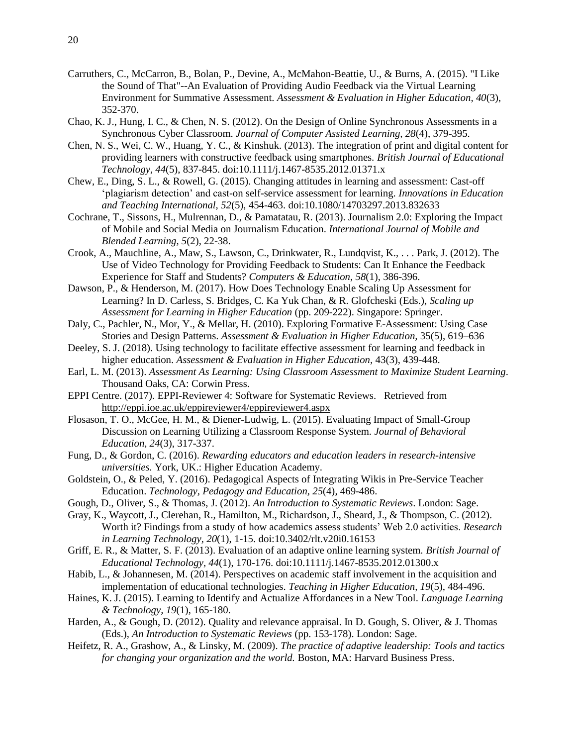- Carruthers, C., McCarron, B., Bolan, P., Devine, A., McMahon-Beattie, U., & Burns, A. (2015). "I Like the Sound of That"--An Evaluation of Providing Audio Feedback via the Virtual Learning Environment for Summative Assessment. *Assessment & Evaluation in Higher Education, 40*(3), 352-370.
- Chao, K. J., Hung, I. C., & Chen, N. S. (2012). On the Design of Online Synchronous Assessments in a Synchronous Cyber Classroom. *Journal of Computer Assisted Learning, 28*(4), 379-395.
- Chen, N. S., Wei, C. W., Huang, Y. C., & Kinshuk. (2013). The integration of print and digital content for providing learners with constructive feedback using smartphones. *British Journal of Educational Technology, 44*(5), 837-845. doi:10.1111/j.1467-8535.2012.01371.x
- Chew, E., Ding, S. L., & Rowell, G. (2015). Changing attitudes in learning and assessment: Cast-off 'plagiarism detection' and cast-on self-service assessment for learning. *Innovations in Education and Teaching International, 52*(5), 454-463. doi:10.1080/14703297.2013.832633
- Cochrane, T., Sissons, H., Mulrennan, D., & Pamatatau, R. (2013). Journalism 2.0: Exploring the Impact of Mobile and Social Media on Journalism Education. *International Journal of Mobile and Blended Learning, 5*(2), 22-38.
- Crook, A., Mauchline, A., Maw, S., Lawson, C., Drinkwater, R., Lundqvist, K., . . . Park, J. (2012). The Use of Video Technology for Providing Feedback to Students: Can It Enhance the Feedback Experience for Staff and Students? *Computers & Education, 58*(1), 386-396.
- Dawson, P., & Henderson, M. (2017). How Does Technology Enable Scaling Up Assessment for Learning? In D. Carless, S. Bridges, C. Ka Yuk Chan, & R. Glofcheski (Eds.), *Scaling up Assessment for Learning in Higher Education* (pp. 209-222). Singapore: Springer.
- Daly, C., Pachler, N., Mor, Y., & Mellar, H. (2010). Exploring Formative E-Assessment: Using Case Stories and Design Patterns. *Assessment & Evaluation in Higher Education,* 35(5), 619–636
- Deeley, S. J. (2018). Using technology to facilitate effective assessment for learning and feedback in higher education. *Assessment & Evaluation in Higher Education,* 43(3), 439-448.
- Earl, L. M. (2013). *Assessment As Learning: Using Classroom Assessment to Maximize Student Learning*. Thousand Oaks, CA: Corwin Press.
- EPPI Centre. (2017). EPPI-Reviewer 4: Software for Systematic Reviews. Retrieved from <http://eppi.ioe.ac.uk/eppireviewer4/eppireviewer4.aspx>
- Flosason, T. O., McGee, H. M., & Diener-Ludwig, L. (2015). Evaluating Impact of Small-Group Discussion on Learning Utilizing a Classroom Response System. *Journal of Behavioral Education, 24*(3), 317-337.
- Fung, D., & Gordon, C. (2016). *Rewarding educators and education leaders in research-intensive universities.* York, UK.: Higher Education Academy.
- Goldstein, O., & Peled, Y. (2016). Pedagogical Aspects of Integrating Wikis in Pre-Service Teacher Education. *Technology, Pedagogy and Education, 25*(4), 469-486.
- Gough, D., Oliver, S., & Thomas, J. (2012). *An Introduction to Systematic Reviews*. London: Sage.
- Gray, K., Waycott, J., Clerehan, R., Hamilton, M., Richardson, J., Sheard, J., & Thompson, C. (2012). Worth it? Findings from a study of how academics assess students' Web 2.0 activities. *Research in Learning Technology, 20*(1), 1-15. doi:10.3402/rlt.v20i0.16153
- Griff, E. R., & Matter, S. F. (2013). Evaluation of an adaptive online learning system. *British Journal of Educational Technology, 44*(1), 170-176. doi:10.1111/j.1467-8535.2012.01300.x
- Habib, L., & Johannesen, M. (2014). Perspectives on academic staff involvement in the acquisition and implementation of educational technologies. *Teaching in Higher Education, 19*(5), 484-496.
- Haines, K. J. (2015). Learning to Identify and Actualize Affordances in a New Tool. *Language Learning & Technology, 19*(1), 165-180.
- Harden, A., & Gough, D. (2012). Quality and relevance appraisal. In D. Gough, S. Oliver, & J. Thomas (Eds.), *An Introduction to Systematic Reviews* (pp. 153-178). London: Sage.
- Heifetz, R. A., Grashow, A., & Linsky, M. (2009). *The practice of adaptive leadership: Tools and tactics for changing your organization and the world.* Boston, MA: Harvard Business Press.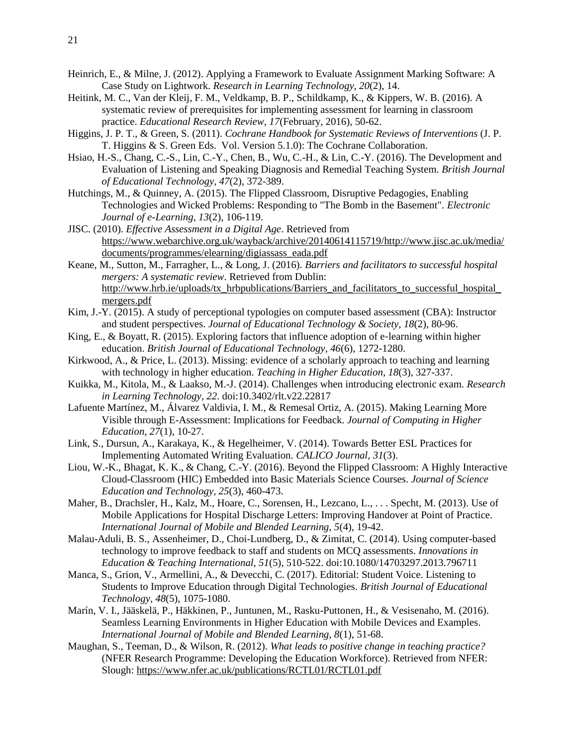- Heinrich, E., & Milne, J. (2012). Applying a Framework to Evaluate Assignment Marking Software: A Case Study on Lightwork. *Research in Learning Technology, 20*(2), 14.
- Heitink, M. C., Van der Kleij, F. M., Veldkamp, B. P., Schildkamp, K., & Kippers, W. B. (2016). A systematic review of prerequisites for implementing assessment for learning in classroom practice. *Educational Research Review, 17*(February, 2016), 50-62.
- Higgins, J. P. T., & Green, S. (2011). *Cochrane Handbook for Systematic Reviews of Interventions* (J. P. T. Higgins & S. Green Eds. Vol. Version 5.1.0): The Cochrane Collaboration.
- Hsiao, H.-S., Chang, C.-S., Lin, C.-Y., Chen, B., Wu, C.-H., & Lin, C.-Y. (2016). The Development and Evaluation of Listening and Speaking Diagnosis and Remedial Teaching System. *British Journal of Educational Technology, 47*(2), 372-389.
- Hutchings, M., & Quinney, A. (2015). The Flipped Classroom, Disruptive Pedagogies, Enabling Technologies and Wicked Problems: Responding to "The Bomb in the Basement". *Electronic Journal of e-Learning, 13*(2), 106-119.
- JISC. (2010). *Effective Assessment in a Digital Age*. Retrieved from [https://www.webarchive.org.uk/wayback/archive/20140614115719/http://www.jisc.ac.uk/media/](https://www.webarchive.org.uk/wayback/archive/20140614115719/http:/www.jisc.ac.uk/media/documents/programmes/elearning/digiassass_eada.pdf) [documents/programmes/elearning/digiassass\\_eada.pdf](https://www.webarchive.org.uk/wayback/archive/20140614115719/http:/www.jisc.ac.uk/media/documents/programmes/elearning/digiassass_eada.pdf)
- Keane, M., Sutton, M., Farragher, L., & Long, J. (2016). *Barriers and facilitators to successful hospital mergers: A systematic review*. Retrieved from Dublin: [http://www.hrb.ie/uploads/tx\\_hrbpublications/Barriers\\_and\\_facilitators\\_to\\_successful\\_hospital\\_](http://www.hrb.ie/uploads/tx_hrbpublications/Barriers_and_facilitators_to_successful_hospital_mergers.pdf) [mergers.pdf](http://www.hrb.ie/uploads/tx_hrbpublications/Barriers_and_facilitators_to_successful_hospital_mergers.pdf)
- Kim, J.-Y. (2015). A study of perceptional typologies on computer based assessment (CBA): Instructor and student perspectives. *Journal of Educational Technology & Society, 18*(2), 80-96.
- King, E., & Boyatt, R. (2015). Exploring factors that influence adoption of e-learning within higher education. *British Journal of Educational Technology, 46*(6), 1272-1280.
- Kirkwood, A., & Price, L. (2013). Missing: evidence of a scholarly approach to teaching and learning with technology in higher education. *Teaching in Higher Education, 18*(3), 327-337.
- Kuikka, M., Kitola, M., & Laakso, M.-J. (2014). Challenges when introducing electronic exam. *Research in Learning Technology, 22*. doi:10.3402/rlt.v22.22817
- Lafuente Martínez, M., Álvarez Valdivia, I. M., & Remesal Ortiz, A. (2015). Making Learning More Visible through E-Assessment: Implications for Feedback. *Journal of Computing in Higher Education, 27*(1), 10-27.
- Link, S., Dursun, A., Karakaya, K., & Hegelheimer, V. (2014). Towards Better ESL Practices for Implementing Automated Writing Evaluation. *CALICO Journal, 31*(3).
- Liou, W.-K., Bhagat, K. K., & Chang, C.-Y. (2016). Beyond the Flipped Classroom: A Highly Interactive Cloud-Classroom (HIC) Embedded into Basic Materials Science Courses. *Journal of Science Education and Technology, 25*(3), 460-473.
- Maher, B., Drachsler, H., Kalz, M., Hoare, C., Sorensen, H., Lezcano, L., . . . Specht, M. (2013). Use of Mobile Applications for Hospital Discharge Letters: Improving Handover at Point of Practice. *International Journal of Mobile and Blended Learning, 5*(4), 19-42.
- Malau-Aduli, B. S., Assenheimer, D., Choi-Lundberg, D., & Zimitat, C. (2014). Using computer-based technology to improve feedback to staff and students on MCQ assessments. *Innovations in Education & Teaching International, 51*(5), 510-522. doi:10.1080/14703297.2013.796711
- Manca, S., Grion, V., Armellini, A., & Devecchi, C. (2017). Editorial: Student Voice. Listening to Students to Improve Education through Digital Technologies. *British Journal of Educational Technology, 48*(5), 1075-1080.
- Marín, V. I., Jääskelä, P., Häkkinen, P., Juntunen, M., Rasku-Puttonen, H., & Vesisenaho, M. (2016). Seamless Learning Environments in Higher Education with Mobile Devices and Examples. *International Journal of Mobile and Blended Learning, 8*(1), 51-68.
- Maughan, S., Teeman, D., & Wilson, R. (2012). *What leads to positive change in teaching practice?*  (NFER Research Programme: Developing the Education Workforce). Retrieved from NFER: Slough:<https://www.nfer.ac.uk/publications/RCTL01/RCTL01.pdf>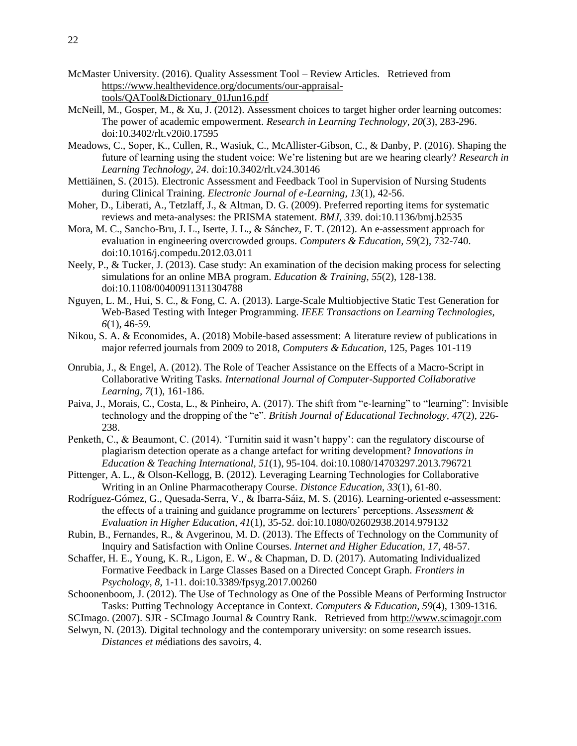- McMaster University. (2016). Quality Assessment Tool Review Articles. Retrieved from [https://www.healthevidence.org/documents/our-appraisal](https://www.healthevidence.org/documents/our-appraisal-tools/QATool&Dictionary_01Jun16.pdf)[tools/QATool&Dictionary\\_01Jun16.pdf](https://www.healthevidence.org/documents/our-appraisal-tools/QATool&Dictionary_01Jun16.pdf)
- McNeill, M., Gosper, M., & Xu, J. (2012). Assessment choices to target higher order learning outcomes: The power of academic empowerment. *Research in Learning Technology, 20*(3), 283-296. doi:10.3402/rlt.v20i0.17595
- Meadows, C., Soper, K., Cullen, R., Wasiuk, C., McAllister-Gibson, C., & Danby, P. (2016). Shaping the future of learning using the student voice: We're listening but are we hearing clearly? *Research in Learning Technology, 24*. doi:10.3402/rlt.v24.30146
- Mettiäinen, S. (2015). Electronic Assessment and Feedback Tool in Supervision of Nursing Students during Clinical Training. *Electronic Journal of e-Learning, 13*(1), 42-56.
- Moher, D., Liberati, A., Tetzlaff, J., & Altman, D. G. (2009). Preferred reporting items for systematic reviews and meta-analyses: the PRISMA statement. *BMJ, 339*. doi:10.1136/bmj.b2535
- Mora, M. C., Sancho-Bru, J. L., Iserte, J. L., & Sánchez, F. T. (2012). An e-assessment approach for evaluation in engineering overcrowded groups. *Computers & Education, 59*(2), 732-740. doi:10.1016/j.compedu.2012.03.011
- Neely, P., & Tucker, J. (2013). Case study: An examination of the decision making process for selecting simulations for an online MBA program. *Education & Training, 55*(2), 128-138. doi:10.1108/00400911311304788
- Nguyen, L. M., Hui, S. C., & Fong, C. A. (2013). Large-Scale Multiobjective Static Test Generation for Web-Based Testing with Integer Programming. *IEEE Transactions on Learning Technologies, 6*(1), 46-59.
- Nikou, S. A. & Economides, A. (2018) Mobile-based assessment: A literature review of publications in major referred journals from 2009 to 2018, *Computers & Education*, 125, Pages 101-119
- Onrubia, J., & Engel, A. (2012). The Role of Teacher Assistance on the Effects of a Macro-Script in Collaborative Writing Tasks. *International Journal of Computer-Supported Collaborative Learning, 7*(1), 161-186.
- Paiva, J., Morais, C., Costa, L., & Pinheiro, A. (2017). The shift from "e‐learning" to "learning": Invisible technology and the dropping of the "e". *British Journal of Educational Technology, 47*(2), 226- 238.
- Penketh, C., & Beaumont, C. (2014). 'Turnitin said it wasn't happy': can the regulatory discourse of plagiarism detection operate as a change artefact for writing development? *Innovations in Education & Teaching International, 51*(1), 95-104. doi:10.1080/14703297.2013.796721
- Pittenger, A. L., & Olson-Kellogg, B. (2012). Leveraging Learning Technologies for Collaborative Writing in an Online Pharmacotherapy Course. *Distance Education, 33*(1), 61-80.
- Rodríguez-Gómez, G., Quesada-Serra, V., & Ibarra-Sáiz, M. S. (2016). Learning-oriented e-assessment: the effects of a training and guidance programme on lecturers' perceptions. *Assessment & Evaluation in Higher Education, 41*(1), 35-52. doi:10.1080/02602938.2014.979132
- Rubin, B., Fernandes, R., & Avgerinou, M. D. (2013). The Effects of Technology on the Community of Inquiry and Satisfaction with Online Courses. *Internet and Higher Education, 17*, 48-57.
- Schaffer, H. E., Young, K. R., Ligon, E. W., & Chapman, D. D. (2017). Automating Individualized Formative Feedback in Large Classes Based on a Directed Concept Graph. *Frontiers in Psychology, 8*, 1-11. doi:10.3389/fpsyg.2017.00260
- Schoonenboom, J. (2012). The Use of Technology as One of the Possible Means of Performing Instructor Tasks: Putting Technology Acceptance in Context. *Computers & Education, 59*(4), 1309-1316.
- SCImago. (2007). SJR SCImago Journal & Country Rank. Retrieved from [http://www.scimagojr.com](http://www.scimagojr.com/)
- Selwyn, N. (2013). Digital technology and the contemporary university: on some research issues. *Distances et m*édiations des savoirs, 4.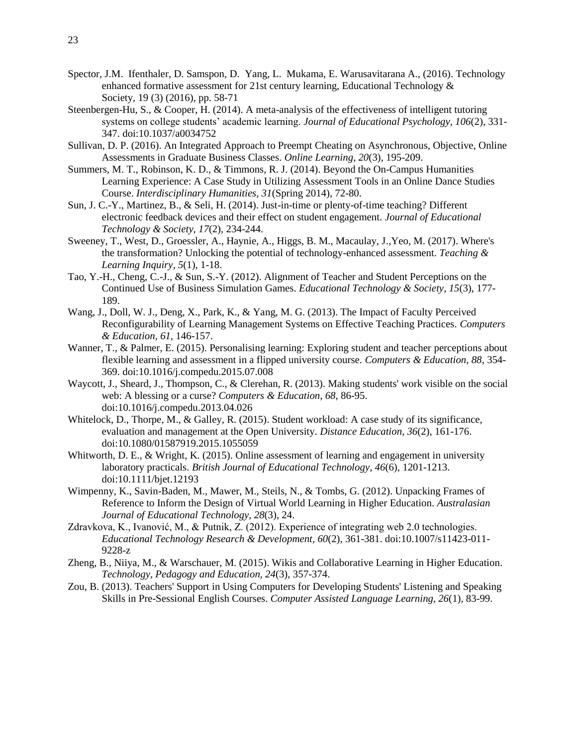- Spector, J.M. Ifenthaler, D. Samspon, D. Yang, L. Mukama, E. Warusavitarana A., (2016). Technology enhanced formative assessment for 21st century learning, Educational Technology  $\&$ Society, 19 (3) (2016), pp. 58-71
- Steenbergen-Hu, S., & Cooper, H. (2014). A meta-analysis of the effectiveness of intelligent tutoring systems on college students' academic learning. *Journal of Educational Psychology, 106*(2), 331- 347. doi:10.1037/a0034752
- Sullivan, D. P. (2016). An Integrated Approach to Preempt Cheating on Asynchronous, Objective, Online Assessments in Graduate Business Classes. *Online Learning, 20*(3), 195-209.
- Summers, M. T., Robinson, K. D., & Timmons, R. J. (2014). Beyond the On-Campus Humanities Learning Experience: A Case Study in Utilizing Assessment Tools in an Online Dance Studies Course. *Interdisciplinary Humanities, 31*(Spring 2014), 72-80.
- Sun, J. C.-Y., Martinez, B., & Seli, H. (2014). Just-in-time or plenty-of-time teaching? Different electronic feedback devices and their effect on student engagement. *Journal of Educational Technology & Society, 17*(2), 234-244.
- Sweeney, T., West, D., Groessler, A., Haynie, A., Higgs, B. M., Macaulay, J.,Yeo, M. (2017). Where's the transformation? Unlocking the potential of technology-enhanced assessment. *Teaching & Learning Inquiry, 5*(1), 1-18.
- Tao, Y.-H., Cheng, C.-J., & Sun, S.-Y. (2012). Alignment of Teacher and Student Perceptions on the Continued Use of Business Simulation Games. *Educational Technology & Society, 15*(3), 177- 189.
- Wang, J., Doll, W. J., Deng, X., Park, K., & Yang, M. G. (2013). The Impact of Faculty Perceived Reconfigurability of Learning Management Systems on Effective Teaching Practices. *Computers & Education, 61*, 146-157.
- Wanner, T., & Palmer, E. (2015). Personalising learning: Exploring student and teacher perceptions about flexible learning and assessment in a flipped university course. *Computers & Education, 88*, 354- 369. doi:10.1016/j.compedu.2015.07.008
- Waycott, J., Sheard, J., Thompson, C., & Clerehan, R. (2013). Making students' work visible on the social web: A blessing or a curse? *Computers & Education, 68*, 86-95. doi:10.1016/j.compedu.2013.04.026
- Whitelock, D., Thorpe, M., & Galley, R. (2015). Student workload: A case study of its significance, evaluation and management at the Open University. *Distance Education, 36*(2), 161-176. doi:10.1080/01587919.2015.1055059
- Whitworth, D. E., & Wright, K. (2015). Online assessment of learning and engagement in university laboratory practicals. *British Journal of Educational Technology, 46*(6), 1201-1213. doi:10.1111/bjet.12193
- Wimpenny, K., Savin-Baden, M., Mawer, M., Steils, N., & Tombs, G. (2012). Unpacking Frames of Reference to Inform the Design of Virtual World Learning in Higher Education. *Australasian Journal of Educational Technology, 28*(3), 24.
- Zdravkova, K., Ivanović, M., & Putnik, Z. (2012). Experience of integrating web 2.0 technologies. *Educational Technology Research & Development, 60*(2), 361-381. doi:10.1007/s11423-011- 9228-z
- Zheng, B., Niiya, M., & Warschauer, M. (2015). Wikis and Collaborative Learning in Higher Education. *Technology, Pedagogy and Education, 24*(3), 357-374.
- Zou, B. (2013). Teachers' Support in Using Computers for Developing Students' Listening and Speaking Skills in Pre-Sessional English Courses. *Computer Assisted Language Learning, 26*(1), 83-99.